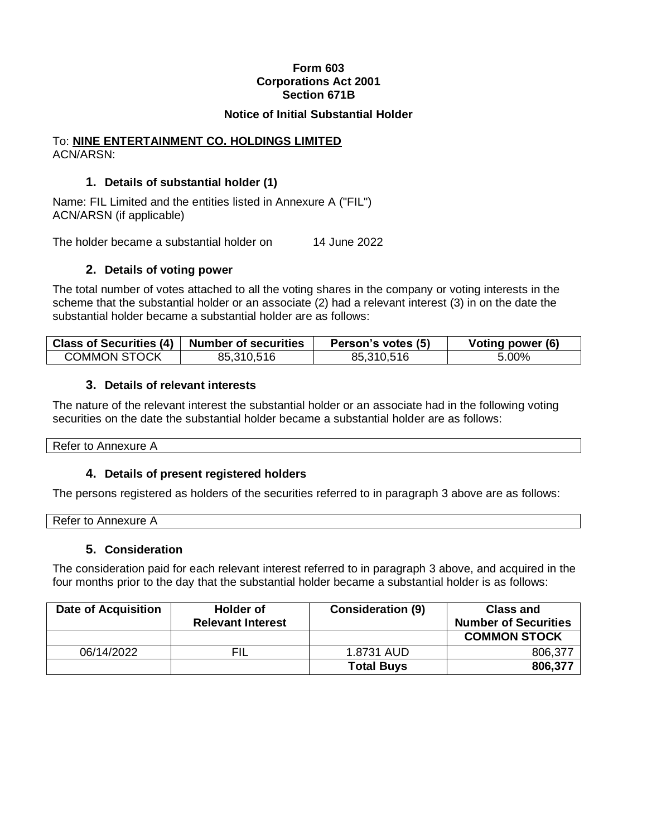# **Form 603 Corporations Act 2001 Section 671B**

#### **Notice of Initial Substantial Holder**

#### To: **NINE ENTERTAINMENT CO. HOLDINGS LIMITED** ACN/ARSN:

# **1. Details of substantial holder (1)**

Name: FIL Limited and the entities listed in Annexure A ("FIL") ACN/ARSN (if applicable)

The holder became a substantial holder on 14 June 2022

# **2. Details of voting power**

The total number of votes attached to all the voting shares in the company or voting interests in the scheme that the substantial holder or an associate (2) had a relevant interest (3) in on the date the substantial holder became a substantial holder are as follows:

| Class of Securities (4) $\parallel$ | Number of securities | Person's votes (5) | Voting power (6) |
|-------------------------------------|----------------------|--------------------|------------------|
| <b>COMMON STOCK</b>                 | 85,310,516           | 85,310,516         | 5.00%            |

# **3. Details of relevant interests**

The nature of the relevant interest the substantial holder or an associate had in the following voting securities on the date the substantial holder became a substantial holder are as follows:

Refer to Annexure A

# **4. Details of present registered holders**

The persons registered as holders of the securities referred to in paragraph 3 above are as follows:

| n.<br>πо<br>56 P. |  |  |
|-------------------|--|--|
|                   |  |  |

# **5. Consideration**

The consideration paid for each relevant interest referred to in paragraph 3 above, and acquired in the four months prior to the day that the substantial holder became a substantial holder is as follows:

| <b>Date of Acquisition</b> | <b>Holder of</b>         | <b>Consideration (9)</b> | <b>Class and</b>            |
|----------------------------|--------------------------|--------------------------|-----------------------------|
|                            | <b>Relevant Interest</b> |                          | <b>Number of Securities</b> |
|                            |                          |                          | <b>COMMON STOCK</b>         |
| 06/14/2022                 | FIL                      | 1.8731 AUD               | 806,377                     |
|                            |                          | <b>Total Buys</b>        | 806,377                     |